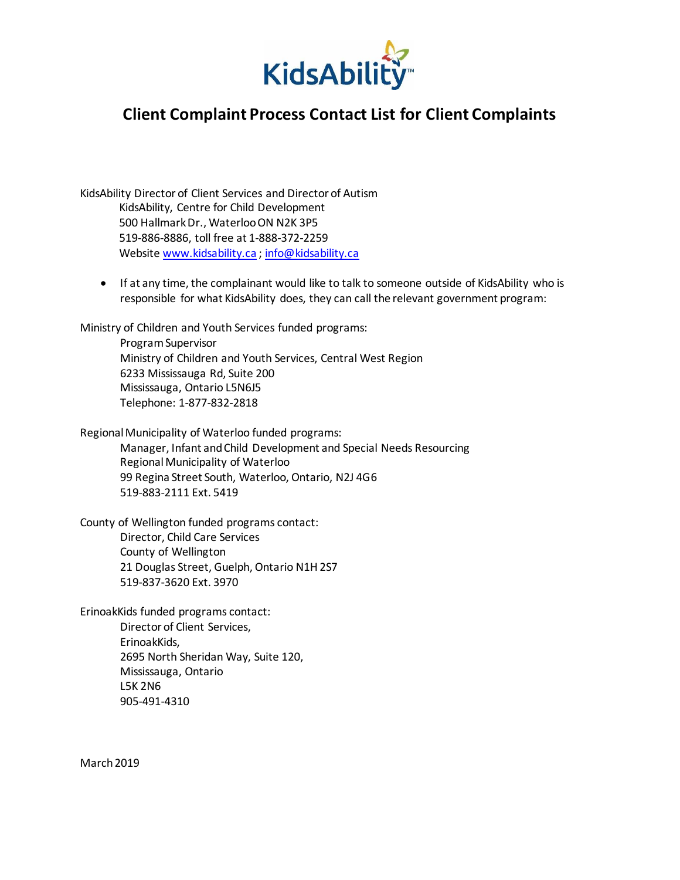

## **Client Complaint Process Contact List for Client Complaints**

KidsAbility Director of Client Services and Director of Autism KidsAbility, Centre for Child Development 500 Hallmark Dr., Waterloo ON N2K 3P5 519-886-8886, toll free at 1-888-372-2259 Website [www.kidsability.ca](http://www.kidsability.ca/) ; [info@kidsability.ca](mailto:info@kidsability.ca)

 If at any time, the complainant would like to talk to someone outside of KidsAbility who is responsible for what KidsAbility does, they can call the relevant government program:

Ministry of Children and Youth Services funded programs: Program Supervisor Ministry of Children and Youth Services, Central West Region 6233 Mississauga Rd, Suite 200 Mississauga, Ontario L5N6J5 Telephone: 1-877-832-2818

Regional Municipality of Waterloo funded programs: Manager, Infant and Child Development and Special Needs Resourcing Regional Municipality of Waterloo 99 Regina Street South, Waterloo, Ontario, N2J 4G6 519-883-2111 Ext. 5419

County of Wellington funded programs contact: Director, Child Care Services County of Wellington 21 Douglas Street, Guelph, Ontario N1H 2S7 519-837-3620 Ext. 3970

ErinoakKids funded programs contact: Director of Client Services, ErinoakKids, 2695 North Sheridan Way, Suite 120, Mississauga, Ontario L5K 2N6 905-491-4310

March 2019